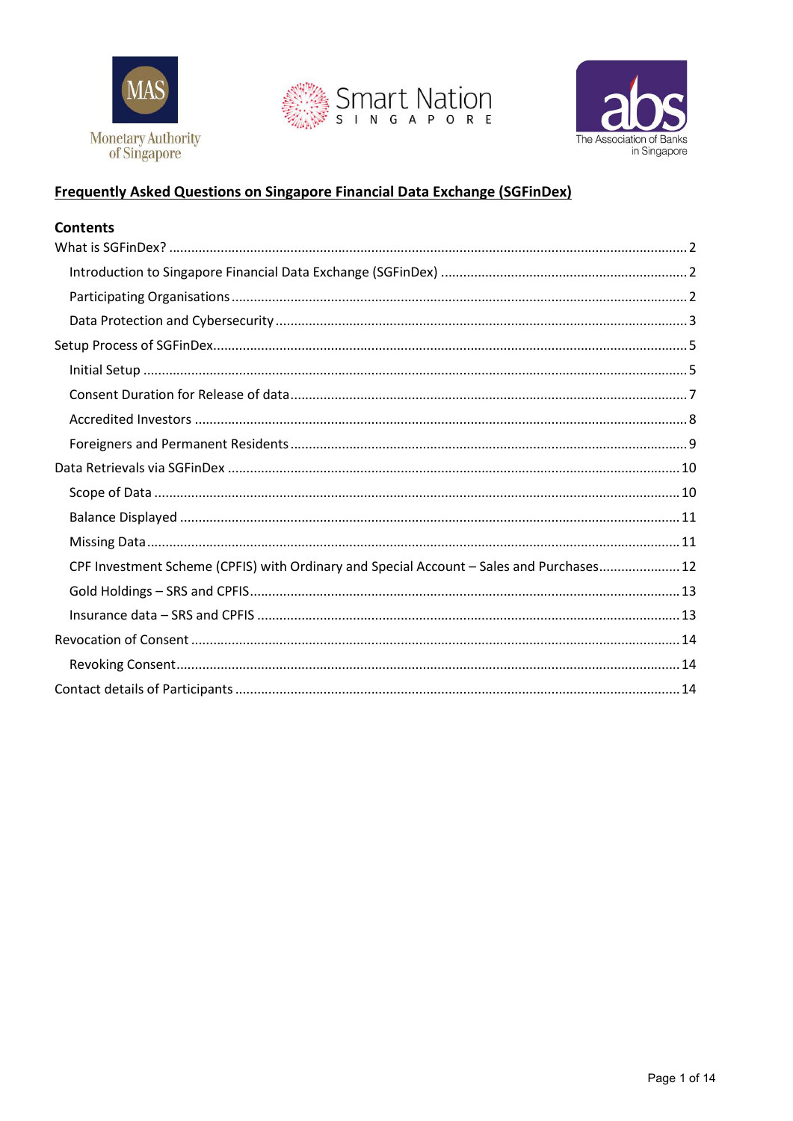





## **Frequently Asked Questions on Singapore Financial Data Exchange (SGFinDex)**

### **Contents**

| CPF Investment Scheme (CPFIS) with Ordinary and Special Account - Sales and Purchases 12 |
|------------------------------------------------------------------------------------------|
|                                                                                          |
|                                                                                          |
|                                                                                          |
|                                                                                          |
|                                                                                          |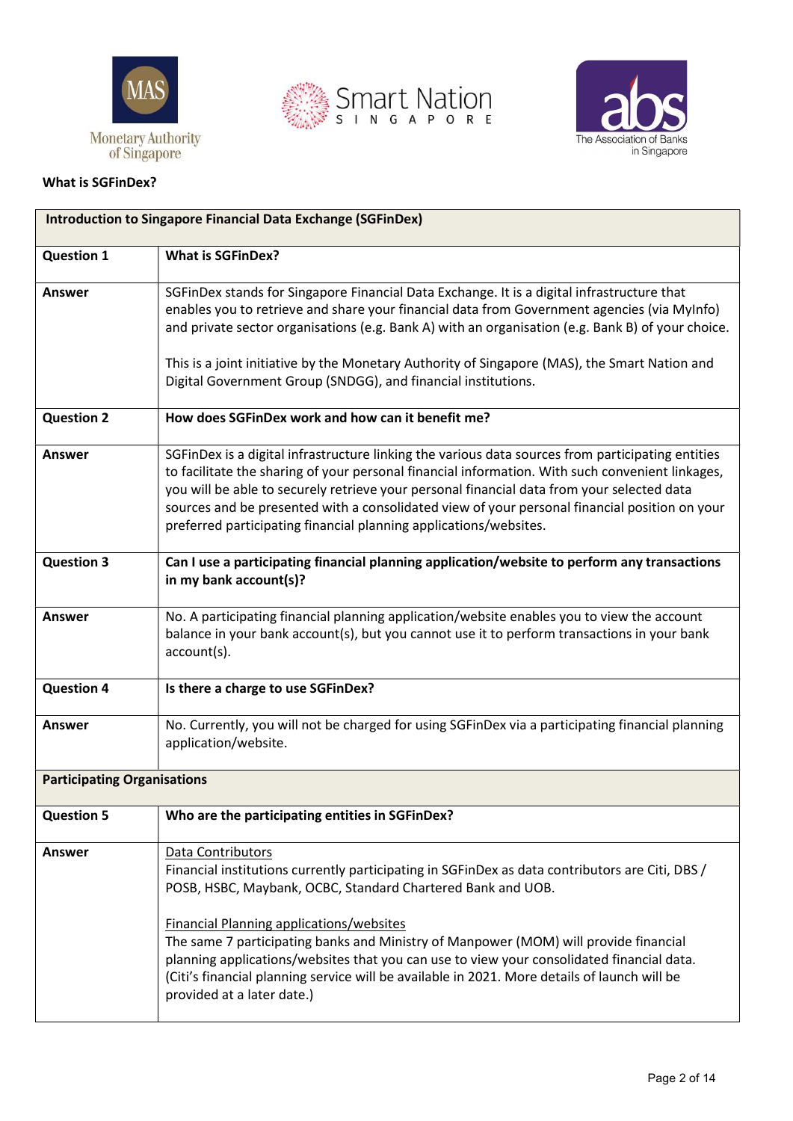





#### What is SGFinDex?

| <b>Introduction to Singapore Financial Data Exchange (SGFinDex)</b> |                                                                                                                                                                                                                                                                                                                                                                                                                                                                           |
|---------------------------------------------------------------------|---------------------------------------------------------------------------------------------------------------------------------------------------------------------------------------------------------------------------------------------------------------------------------------------------------------------------------------------------------------------------------------------------------------------------------------------------------------------------|
| <b>Question 1</b>                                                   | <b>What is SGFinDex?</b>                                                                                                                                                                                                                                                                                                                                                                                                                                                  |
| <b>Answer</b>                                                       | SGFinDex stands for Singapore Financial Data Exchange. It is a digital infrastructure that<br>enables you to retrieve and share your financial data from Government agencies (via MyInfo)<br>and private sector organisations (e.g. Bank A) with an organisation (e.g. Bank B) of your choice.                                                                                                                                                                            |
|                                                                     | This is a joint initiative by the Monetary Authority of Singapore (MAS), the Smart Nation and<br>Digital Government Group (SNDGG), and financial institutions.                                                                                                                                                                                                                                                                                                            |
| <b>Question 2</b>                                                   | How does SGFinDex work and how can it benefit me?                                                                                                                                                                                                                                                                                                                                                                                                                         |
| Answer                                                              | SGFinDex is a digital infrastructure linking the various data sources from participating entities<br>to facilitate the sharing of your personal financial information. With such convenient linkages,<br>you will be able to securely retrieve your personal financial data from your selected data<br>sources and be presented with a consolidated view of your personal financial position on your<br>preferred participating financial planning applications/websites. |
| <b>Question 3</b>                                                   | Can I use a participating financial planning application/website to perform any transactions<br>in my bank account(s)?                                                                                                                                                                                                                                                                                                                                                    |
| Answer                                                              | No. A participating financial planning application/website enables you to view the account<br>balance in your bank account(s), but you cannot use it to perform transactions in your bank<br>$account(s)$ .                                                                                                                                                                                                                                                               |
| <b>Question 4</b>                                                   | Is there a charge to use SGFinDex?                                                                                                                                                                                                                                                                                                                                                                                                                                        |
| <b>Answer</b>                                                       | No. Currently, you will not be charged for using SGFinDex via a participating financial planning<br>application/website.                                                                                                                                                                                                                                                                                                                                                  |
| <b>Participating Organisations</b>                                  |                                                                                                                                                                                                                                                                                                                                                                                                                                                                           |
| <b>Question 5</b>                                                   | Who are the participating entities in SGFinDex?                                                                                                                                                                                                                                                                                                                                                                                                                           |
| <b>Answer</b>                                                       | Data Contributors<br>Financial institutions currently participating in SGFinDex as data contributors are Citi, DBS /<br>POSB, HSBC, Maybank, OCBC, Standard Chartered Bank and UOB.                                                                                                                                                                                                                                                                                       |
|                                                                     | <b>Financial Planning applications/websites</b><br>The same 7 participating banks and Ministry of Manpower (MOM) will provide financial<br>planning applications/websites that you can use to view your consolidated financial data.<br>(Citi's financial planning service will be available in 2021. More details of launch will be<br>provided at a later date.)                                                                                                        |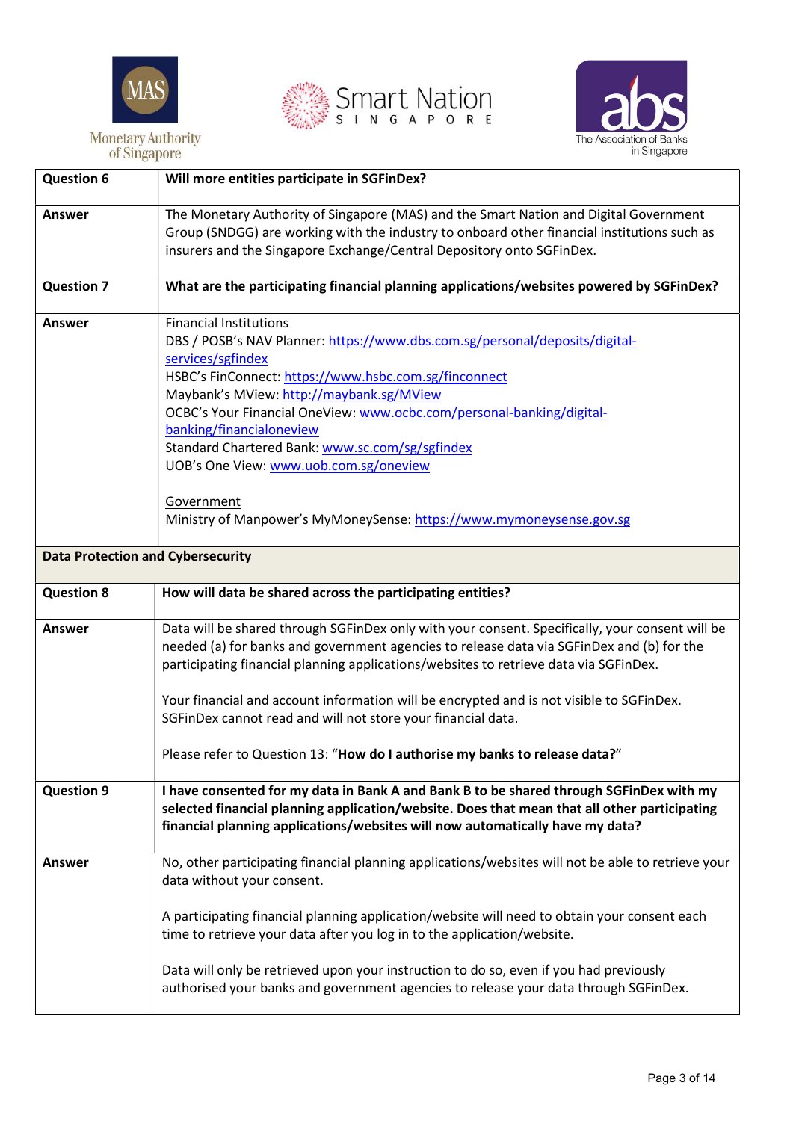





| <b>Question 6</b>                        | Will more entities participate in SGFinDex?                                                                                                                                                                                                                                                                                                                                                                                                                                                                                      |
|------------------------------------------|----------------------------------------------------------------------------------------------------------------------------------------------------------------------------------------------------------------------------------------------------------------------------------------------------------------------------------------------------------------------------------------------------------------------------------------------------------------------------------------------------------------------------------|
| Answer                                   | The Monetary Authority of Singapore (MAS) and the Smart Nation and Digital Government<br>Group (SNDGG) are working with the industry to onboard other financial institutions such as<br>insurers and the Singapore Exchange/Central Depository onto SGFinDex.                                                                                                                                                                                                                                                                    |
| <b>Question 7</b>                        | What are the participating financial planning applications/websites powered by SGFinDex?                                                                                                                                                                                                                                                                                                                                                                                                                                         |
| <b>Answer</b>                            | <b>Financial Institutions</b><br>DBS / POSB's NAV Planner: https://www.dbs.com.sg/personal/deposits/digital-<br>services/sgfindex<br>HSBC's FinConnect: https://www.hsbc.com.sg/finconnect<br>Maybank's MView: http://maybank.sg/MView<br>OCBC's Your Financial OneView: www.ocbc.com/personal-banking/digital-<br>banking/financialoneview<br>Standard Chartered Bank: www.sc.com/sg/sgfindex<br>UOB's One View: www.uob.com.sg/oneview<br>Government<br>Ministry of Manpower's MyMoneySense: https://www.mymoneysense.gov.sg   |
| <b>Data Protection and Cybersecurity</b> |                                                                                                                                                                                                                                                                                                                                                                                                                                                                                                                                  |
|                                          |                                                                                                                                                                                                                                                                                                                                                                                                                                                                                                                                  |
|                                          |                                                                                                                                                                                                                                                                                                                                                                                                                                                                                                                                  |
| <b>Question 8</b>                        | How will data be shared across the participating entities?                                                                                                                                                                                                                                                                                                                                                                                                                                                                       |
| <b>Answer</b>                            | Data will be shared through SGFinDex only with your consent. Specifically, your consent will be<br>needed (a) for banks and government agencies to release data via SGFinDex and (b) for the<br>participating financial planning applications/websites to retrieve data via SGFinDex.<br>Your financial and account information will be encrypted and is not visible to SGFinDex.<br>SGFinDex cannot read and will not store your financial data.<br>Please refer to Question 13: "How do I authorise my banks to release data?" |
| <b>Question 9</b>                        | I have consented for my data in Bank A and Bank B to be shared through SGFinDex with my<br>selected financial planning application/website. Does that mean that all other participating<br>financial planning applications/websites will now automatically have my data?                                                                                                                                                                                                                                                         |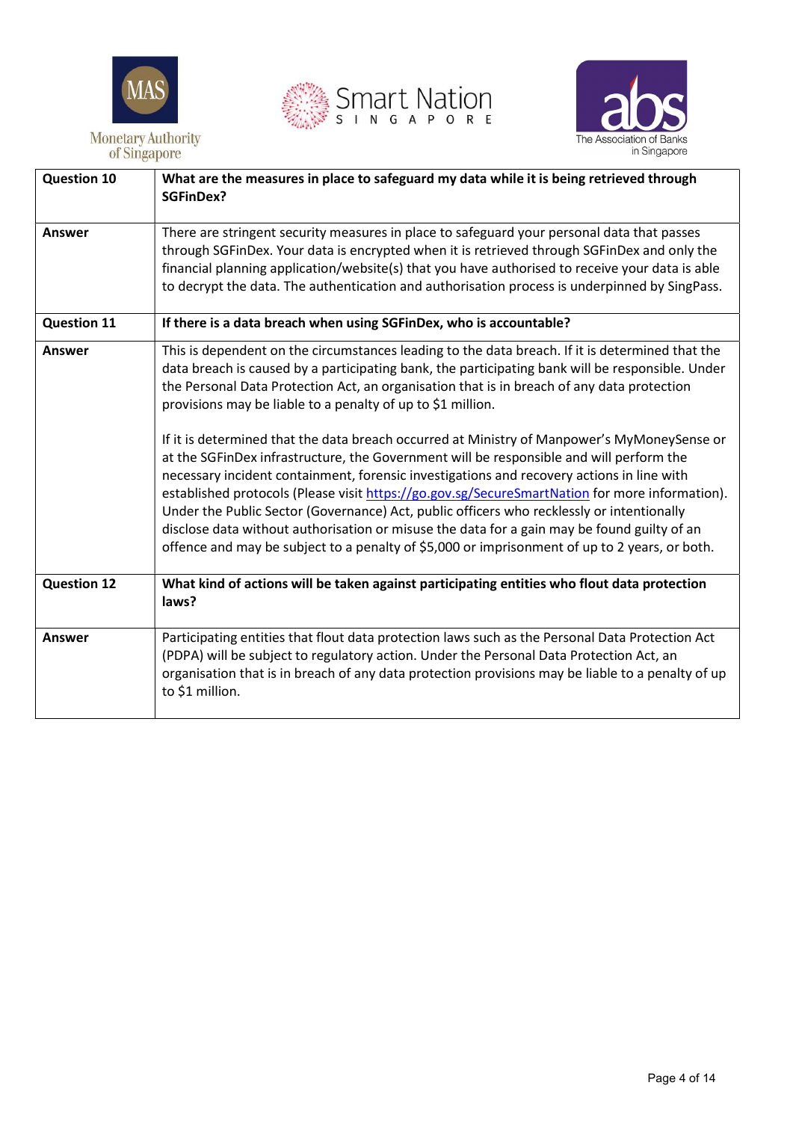





| <b>Question 10</b> | What are the measures in place to safeguard my data while it is being retrieved through<br><b>SGFinDex?</b>                                                                                                                                                                                                                                                                                                                                                                                                                                                                                                                                                                                                                                                                                                                                                                                                                                                                                                                                            |
|--------------------|--------------------------------------------------------------------------------------------------------------------------------------------------------------------------------------------------------------------------------------------------------------------------------------------------------------------------------------------------------------------------------------------------------------------------------------------------------------------------------------------------------------------------------------------------------------------------------------------------------------------------------------------------------------------------------------------------------------------------------------------------------------------------------------------------------------------------------------------------------------------------------------------------------------------------------------------------------------------------------------------------------------------------------------------------------|
| <b>Answer</b>      | There are stringent security measures in place to safeguard your personal data that passes<br>through SGFinDex. Your data is encrypted when it is retrieved through SGFinDex and only the<br>financial planning application/website(s) that you have authorised to receive your data is able<br>to decrypt the data. The authentication and authorisation process is underpinned by SingPass.                                                                                                                                                                                                                                                                                                                                                                                                                                                                                                                                                                                                                                                          |
| <b>Question 11</b> | If there is a data breach when using SGFinDex, who is accountable?                                                                                                                                                                                                                                                                                                                                                                                                                                                                                                                                                                                                                                                                                                                                                                                                                                                                                                                                                                                     |
| <b>Answer</b>      | This is dependent on the circumstances leading to the data breach. If it is determined that the<br>data breach is caused by a participating bank, the participating bank will be responsible. Under<br>the Personal Data Protection Act, an organisation that is in breach of any data protection<br>provisions may be liable to a penalty of up to \$1 million.<br>If it is determined that the data breach occurred at Ministry of Manpower's MyMoneySense or<br>at the SGFinDex infrastructure, the Government will be responsible and will perform the<br>necessary incident containment, forensic investigations and recovery actions in line with<br>established protocols (Please visit https://go.gov.sg/SecureSmartNation for more information).<br>Under the Public Sector (Governance) Act, public officers who recklessly or intentionally<br>disclose data without authorisation or misuse the data for a gain may be found guilty of an<br>offence and may be subject to a penalty of \$5,000 or imprisonment of up to 2 years, or both. |
| <b>Question 12</b> | What kind of actions will be taken against participating entities who flout data protection<br>laws?                                                                                                                                                                                                                                                                                                                                                                                                                                                                                                                                                                                                                                                                                                                                                                                                                                                                                                                                                   |
| Answer             | Participating entities that flout data protection laws such as the Personal Data Protection Act<br>(PDPA) will be subject to regulatory action. Under the Personal Data Protection Act, an<br>organisation that is in breach of any data protection provisions may be liable to a penalty of up<br>to \$1 million.                                                                                                                                                                                                                                                                                                                                                                                                                                                                                                                                                                                                                                                                                                                                     |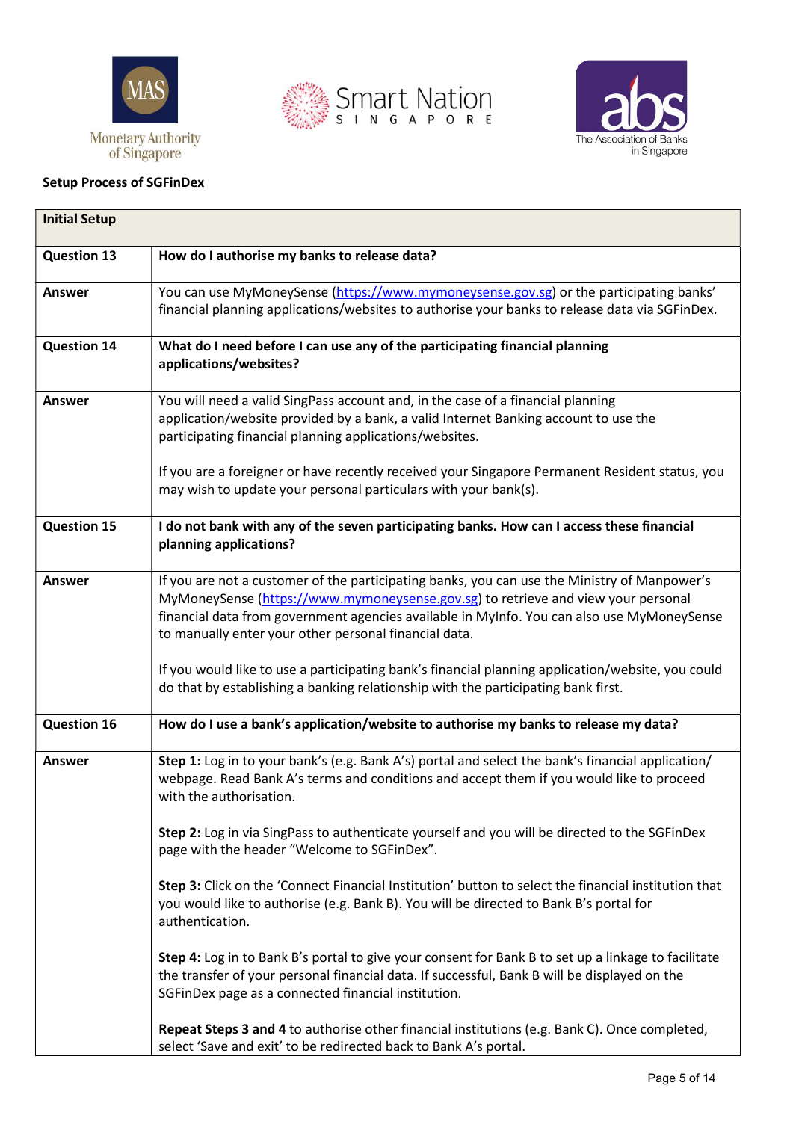





#### Setup Process of SGFinDex

| <b>Initial Setup</b> |                                                                                                                                                                                                                                                                                                                                          |
|----------------------|------------------------------------------------------------------------------------------------------------------------------------------------------------------------------------------------------------------------------------------------------------------------------------------------------------------------------------------|
| <b>Question 13</b>   | How do I authorise my banks to release data?                                                                                                                                                                                                                                                                                             |
| <b>Answer</b>        | You can use MyMoneySense (https://www.mymoneysense.gov.sg) or the participating banks'<br>financial planning applications/websites to authorise your banks to release data via SGFinDex.                                                                                                                                                 |
| <b>Question 14</b>   | What do I need before I can use any of the participating financial planning<br>applications/websites?                                                                                                                                                                                                                                    |
| Answer               | You will need a valid SingPass account and, in the case of a financial planning<br>application/website provided by a bank, a valid Internet Banking account to use the<br>participating financial planning applications/websites.                                                                                                        |
|                      | If you are a foreigner or have recently received your Singapore Permanent Resident status, you<br>may wish to update your personal particulars with your bank(s).                                                                                                                                                                        |
| <b>Question 15</b>   | I do not bank with any of the seven participating banks. How can I access these financial<br>planning applications?                                                                                                                                                                                                                      |
| <b>Answer</b>        | If you are not a customer of the participating banks, you can use the Ministry of Manpower's<br>MyMoneySense (https://www.mymoneysense.gov.sg) to retrieve and view your personal<br>financial data from government agencies available in MyInfo. You can also use MyMoneySense<br>to manually enter your other personal financial data. |
|                      | If you would like to use a participating bank's financial planning application/website, you could<br>do that by establishing a banking relationship with the participating bank first.                                                                                                                                                   |
| <b>Question 16</b>   | How do I use a bank's application/website to authorise my banks to release my data?                                                                                                                                                                                                                                                      |
| Answer               | Step 1: Log in to your bank's (e.g. Bank A's) portal and select the bank's financial application/<br>webpage. Read Bank A's terms and conditions and accept them if you would like to proceed<br>with the authorisation.                                                                                                                 |
|                      | Step 2: Log in via SingPass to authenticate yourself and you will be directed to the SGFinDex<br>page with the header "Welcome to SGFinDex".                                                                                                                                                                                             |
|                      | Step 3: Click on the 'Connect Financial Institution' button to select the financial institution that<br>you would like to authorise (e.g. Bank B). You will be directed to Bank B's portal for<br>authentication.                                                                                                                        |
|                      | Step 4: Log in to Bank B's portal to give your consent for Bank B to set up a linkage to facilitate<br>the transfer of your personal financial data. If successful, Bank B will be displayed on the<br>SGFinDex page as a connected financial institution.                                                                               |
|                      | Repeat Steps 3 and 4 to authorise other financial institutions (e.g. Bank C). Once completed,<br>select 'Save and exit' to be redirected back to Bank A's portal.                                                                                                                                                                        |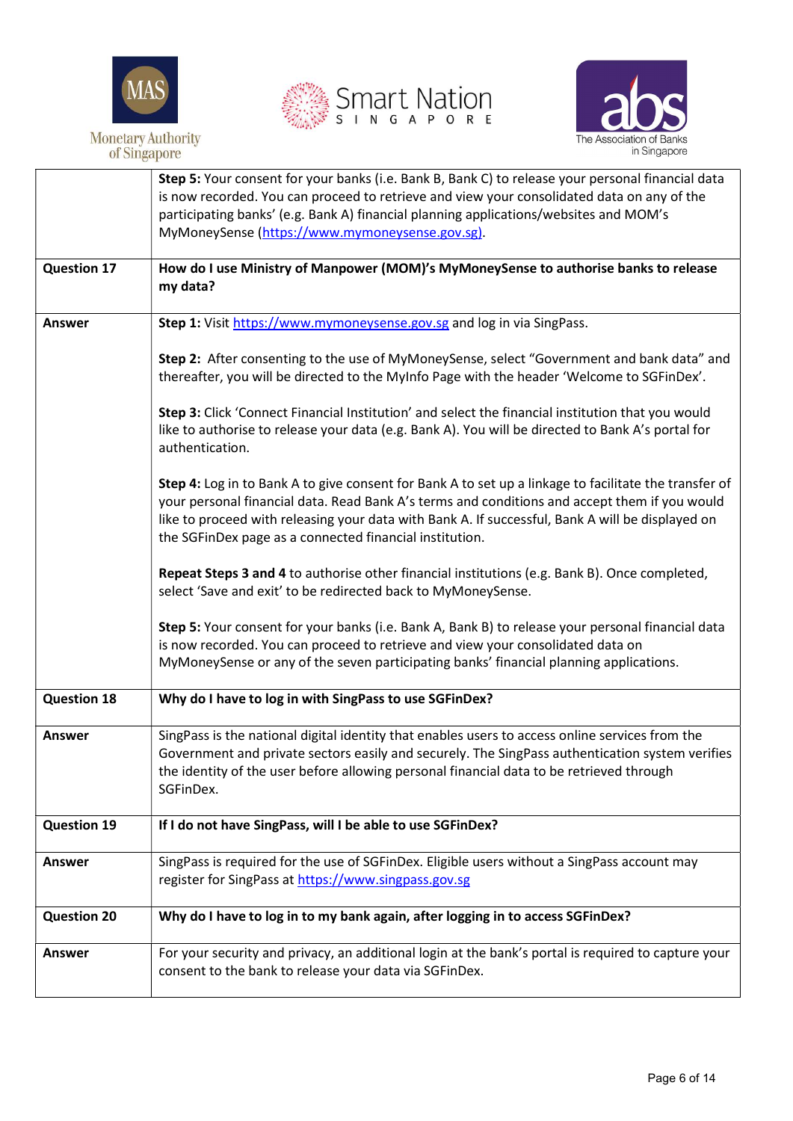





|                    | Step 5: Your consent for your banks (i.e. Bank B, Bank C) to release your personal financial data                                                                                                                                                                                                                                                                     |
|--------------------|-----------------------------------------------------------------------------------------------------------------------------------------------------------------------------------------------------------------------------------------------------------------------------------------------------------------------------------------------------------------------|
|                    | is now recorded. You can proceed to retrieve and view your consolidated data on any of the                                                                                                                                                                                                                                                                            |
|                    | participating banks' (e.g. Bank A) financial planning applications/websites and MOM's<br>MyMoneySense (https://www.mymoneysense.gov.sg).                                                                                                                                                                                                                              |
|                    |                                                                                                                                                                                                                                                                                                                                                                       |
| <b>Question 17</b> | How do I use Ministry of Manpower (MOM)'s MyMoneySense to authorise banks to release                                                                                                                                                                                                                                                                                  |
|                    | my data?                                                                                                                                                                                                                                                                                                                                                              |
|                    |                                                                                                                                                                                                                                                                                                                                                                       |
| <b>Answer</b>      | Step 1: Visit https://www.mymoneysense.gov.sg and log in via SingPass.                                                                                                                                                                                                                                                                                                |
|                    | Step 2: After consenting to the use of MyMoneySense, select "Government and bank data" and<br>thereafter, you will be directed to the MyInfo Page with the header 'Welcome to SGFinDex'.                                                                                                                                                                              |
|                    | Step 3: Click 'Connect Financial Institution' and select the financial institution that you would<br>like to authorise to release your data (e.g. Bank A). You will be directed to Bank A's portal for<br>authentication.                                                                                                                                             |
|                    | Step 4: Log in to Bank A to give consent for Bank A to set up a linkage to facilitate the transfer of<br>your personal financial data. Read Bank A's terms and conditions and accept them if you would<br>like to proceed with releasing your data with Bank A. If successful, Bank A will be displayed on<br>the SGFinDex page as a connected financial institution. |
|                    | Repeat Steps 3 and 4 to authorise other financial institutions (e.g. Bank B). Once completed,<br>select 'Save and exit' to be redirected back to MyMoneySense.                                                                                                                                                                                                        |
|                    | Step 5: Your consent for your banks (i.e. Bank A, Bank B) to release your personal financial data<br>is now recorded. You can proceed to retrieve and view your consolidated data on                                                                                                                                                                                  |
|                    | MyMoneySense or any of the seven participating banks' financial planning applications.                                                                                                                                                                                                                                                                                |
| <b>Question 18</b> | Why do I have to log in with SingPass to use SGFinDex?                                                                                                                                                                                                                                                                                                                |
| <b>Answer</b>      | SingPass is the national digital identity that enables users to access online services from the<br>Government and private sectors easily and securely. The SingPass authentication system verifies<br>the identity of the user before allowing personal financial data to be retrieved through<br>SGFinDex.                                                           |
| <b>Question 19</b> | If I do not have SingPass, will I be able to use SGFinDex?                                                                                                                                                                                                                                                                                                            |
| <b>Answer</b>      | SingPass is required for the use of SGFinDex. Eligible users without a SingPass account may<br>register for SingPass at https://www.singpass.gov.sg                                                                                                                                                                                                                   |
| <b>Question 20</b> | Why do I have to log in to my bank again, after logging in to access SGFinDex?                                                                                                                                                                                                                                                                                        |
| <b>Answer</b>      | For your security and privacy, an additional login at the bank's portal is required to capture your<br>consent to the bank to release your data via SGFinDex.                                                                                                                                                                                                         |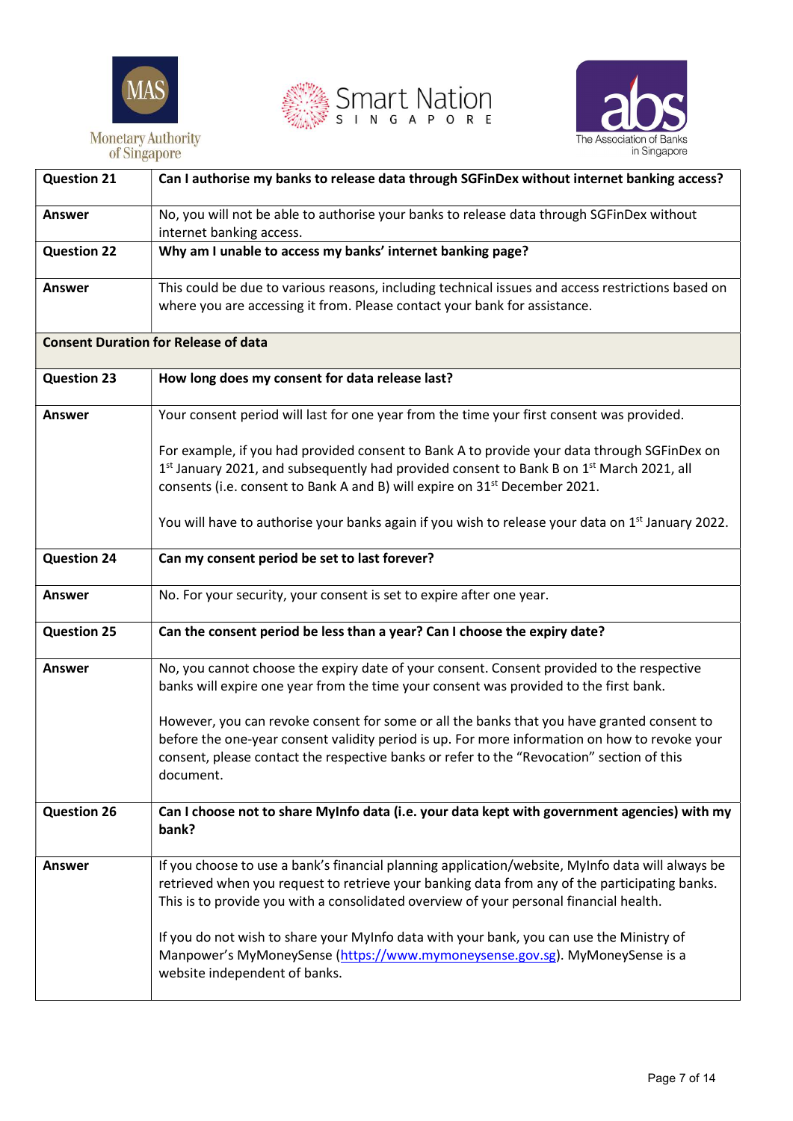





| <b>Question 21</b> | Can I authorise my banks to release data through SGFinDex without internet banking access?                                                                                                                                                                                                                                                                                                                                                                                                               |
|--------------------|----------------------------------------------------------------------------------------------------------------------------------------------------------------------------------------------------------------------------------------------------------------------------------------------------------------------------------------------------------------------------------------------------------------------------------------------------------------------------------------------------------|
| <b>Answer</b>      | No, you will not be able to authorise your banks to release data through SGFinDex without<br>internet banking access.                                                                                                                                                                                                                                                                                                                                                                                    |
| <b>Question 22</b> | Why am I unable to access my banks' internet banking page?                                                                                                                                                                                                                                                                                                                                                                                                                                               |
| <b>Answer</b>      | This could be due to various reasons, including technical issues and access restrictions based on<br>where you are accessing it from. Please contact your bank for assistance.                                                                                                                                                                                                                                                                                                                           |
|                    | <b>Consent Duration for Release of data</b>                                                                                                                                                                                                                                                                                                                                                                                                                                                              |
| <b>Question 23</b> | How long does my consent for data release last?                                                                                                                                                                                                                                                                                                                                                                                                                                                          |
| <b>Answer</b>      | Your consent period will last for one year from the time your first consent was provided.                                                                                                                                                                                                                                                                                                                                                                                                                |
|                    | For example, if you had provided consent to Bank A to provide your data through SGFinDex on<br>1st January 2021, and subsequently had provided consent to Bank B on 1st March 2021, all<br>consents (i.e. consent to Bank A and B) will expire on 31 <sup>st</sup> December 2021.<br>You will have to authorise your banks again if you wish to release your data on 1 <sup>st</sup> January 2022.                                                                                                       |
| <b>Question 24</b> | Can my consent period be set to last forever?                                                                                                                                                                                                                                                                                                                                                                                                                                                            |
| <b>Answer</b>      | No. For your security, your consent is set to expire after one year.                                                                                                                                                                                                                                                                                                                                                                                                                                     |
| <b>Question 25</b> | Can the consent period be less than a year? Can I choose the expiry date?                                                                                                                                                                                                                                                                                                                                                                                                                                |
| <b>Answer</b>      | No, you cannot choose the expiry date of your consent. Consent provided to the respective<br>banks will expire one year from the time your consent was provided to the first bank.<br>However, you can revoke consent for some or all the banks that you have granted consent to<br>before the one-year consent validity period is up. For more information on how to revoke your<br>consent, please contact the respective banks or refer to the "Revocation" section of this<br>document.              |
| <b>Question 26</b> | Can I choose not to share MyInfo data (i.e. your data kept with government agencies) with my<br>bank?                                                                                                                                                                                                                                                                                                                                                                                                    |
| <b>Answer</b>      | If you choose to use a bank's financial planning application/website, MyInfo data will always be<br>retrieved when you request to retrieve your banking data from any of the participating banks.<br>This is to provide you with a consolidated overview of your personal financial health.<br>If you do not wish to share your MyInfo data with your bank, you can use the Ministry of<br>Manpower's MyMoneySense (https://www.mymoneysense.gov.sg). MyMoneySense is a<br>website independent of banks. |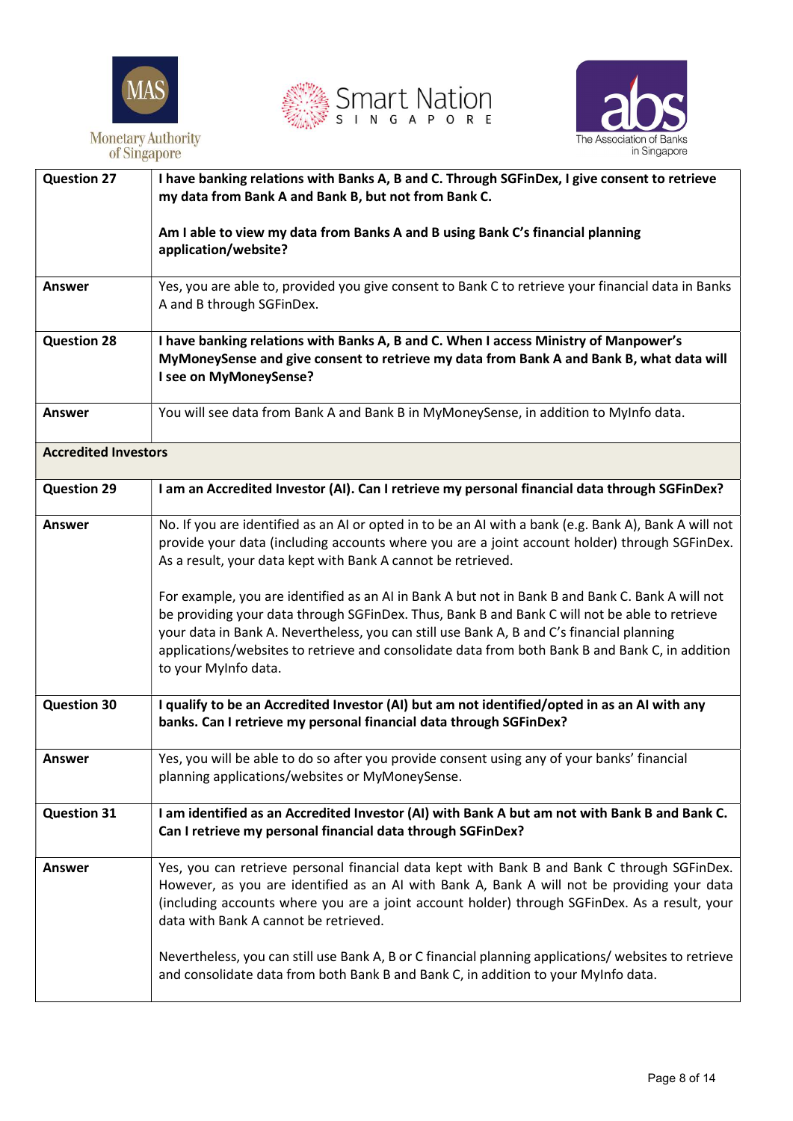





| <b>Question 27</b>          | I have banking relations with Banks A, B and C. Through SGFinDex, I give consent to retrieve<br>my data from Bank A and Bank B, but not from Bank C.                                                                                                                                                                                                                                                                      |
|-----------------------------|---------------------------------------------------------------------------------------------------------------------------------------------------------------------------------------------------------------------------------------------------------------------------------------------------------------------------------------------------------------------------------------------------------------------------|
|                             | Am I able to view my data from Banks A and B using Bank C's financial planning<br>application/website?                                                                                                                                                                                                                                                                                                                    |
| <b>Answer</b>               | Yes, you are able to, provided you give consent to Bank C to retrieve your financial data in Banks<br>A and B through SGFinDex.                                                                                                                                                                                                                                                                                           |
| <b>Question 28</b>          | I have banking relations with Banks A, B and C. When I access Ministry of Manpower's<br>MyMoneySense and give consent to retrieve my data from Bank A and Bank B, what data will<br>I see on MyMoneySense?                                                                                                                                                                                                                |
| <b>Answer</b>               | You will see data from Bank A and Bank B in MyMoneySense, in addition to MyInfo data.                                                                                                                                                                                                                                                                                                                                     |
| <b>Accredited Investors</b> |                                                                                                                                                                                                                                                                                                                                                                                                                           |
| <b>Question 29</b>          | I am an Accredited Investor (AI). Can I retrieve my personal financial data through SGFinDex?                                                                                                                                                                                                                                                                                                                             |
| <b>Answer</b>               | No. If you are identified as an AI or opted in to be an AI with a bank (e.g. Bank A), Bank A will not<br>provide your data (including accounts where you are a joint account holder) through SGFinDex.<br>As a result, your data kept with Bank A cannot be retrieved.                                                                                                                                                    |
|                             | For example, you are identified as an AI in Bank A but not in Bank B and Bank C. Bank A will not<br>be providing your data through SGFinDex. Thus, Bank B and Bank C will not be able to retrieve<br>your data in Bank A. Nevertheless, you can still use Bank A, B and C's financial planning<br>applications/websites to retrieve and consolidate data from both Bank B and Bank C, in addition<br>to your MyInfo data. |
| <b>Question 30</b>          | I qualify to be an Accredited Investor (AI) but am not identified/opted in as an AI with any<br>banks. Can I retrieve my personal financial data through SGFinDex?                                                                                                                                                                                                                                                        |
| Answer                      | Yes, you will be able to do so after you provide consent using any of your banks' financial<br>planning applications/websites or MyMoneySense.                                                                                                                                                                                                                                                                            |
| <b>Question 31</b>          | I am identified as an Accredited Investor (AI) with Bank A but am not with Bank B and Bank C.<br>Can I retrieve my personal financial data through SGFinDex?                                                                                                                                                                                                                                                              |
| <b>Answer</b>               | Yes, you can retrieve personal financial data kept with Bank B and Bank C through SGFinDex.<br>However, as you are identified as an AI with Bank A, Bank A will not be providing your data<br>(including accounts where you are a joint account holder) through SGFinDex. As a result, your<br>data with Bank A cannot be retrieved.                                                                                      |
|                             | Nevertheless, you can still use Bank A, B or C financial planning applications/ websites to retrieve<br>and consolidate data from both Bank B and Bank C, in addition to your MyInfo data.                                                                                                                                                                                                                                |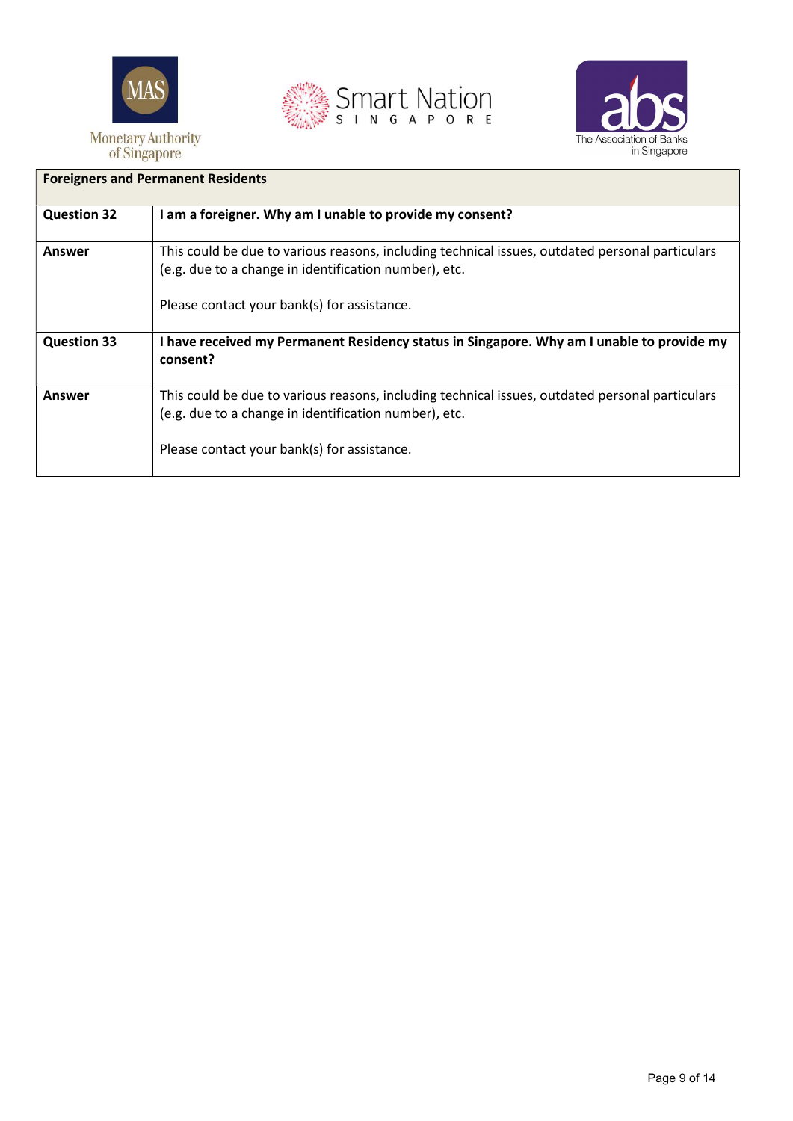





| <b>Foreigners and Permanent Residents</b> |                                                                                                                                                                                                         |
|-------------------------------------------|---------------------------------------------------------------------------------------------------------------------------------------------------------------------------------------------------------|
| <b>Question 32</b>                        | I am a foreigner. Why am I unable to provide my consent?                                                                                                                                                |
| Answer                                    | This could be due to various reasons, including technical issues, outdated personal particulars<br>(e.g. due to a change in identification number), etc.<br>Please contact your bank(s) for assistance. |
| <b>Question 33</b>                        | I have received my Permanent Residency status in Singapore. Why am I unable to provide my<br>consent?                                                                                                   |
| Answer                                    | This could be due to various reasons, including technical issues, outdated personal particulars<br>(e.g. due to a change in identification number), etc.<br>Please contact your bank(s) for assistance. |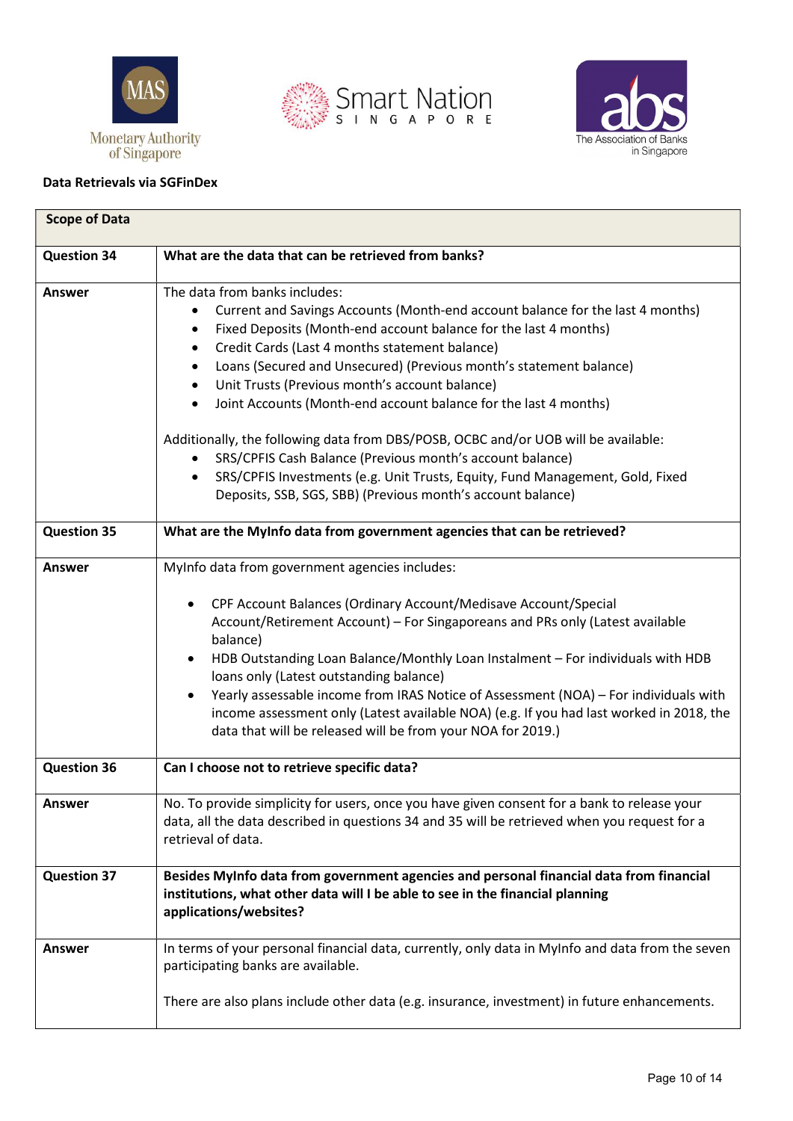









| <b>Scope of Data</b> |                                                                                                                                                                                                                                                                                                                                                                                                                                                                                                                                                                                                                                                                                                                                                                          |
|----------------------|--------------------------------------------------------------------------------------------------------------------------------------------------------------------------------------------------------------------------------------------------------------------------------------------------------------------------------------------------------------------------------------------------------------------------------------------------------------------------------------------------------------------------------------------------------------------------------------------------------------------------------------------------------------------------------------------------------------------------------------------------------------------------|
| <b>Question 34</b>   | What are the data that can be retrieved from banks?                                                                                                                                                                                                                                                                                                                                                                                                                                                                                                                                                                                                                                                                                                                      |
| Answer               | The data from banks includes:<br>Current and Savings Accounts (Month-end account balance for the last 4 months)<br>Fixed Deposits (Month-end account balance for the last 4 months)<br>Credit Cards (Last 4 months statement balance)<br>$\bullet$<br>Loans (Secured and Unsecured) (Previous month's statement balance)<br>٠<br>Unit Trusts (Previous month's account balance)<br>٠<br>Joint Accounts (Month-end account balance for the last 4 months)<br>$\bullet$<br>Additionally, the following data from DBS/POSB, OCBC and/or UOB will be available:<br>SRS/CPFIS Cash Balance (Previous month's account balance)<br>SRS/CPFIS Investments (e.g. Unit Trusts, Equity, Fund Management, Gold, Fixed<br>Deposits, SSB, SGS, SBB) (Previous month's account balance) |
| <b>Question 35</b>   | What are the MyInfo data from government agencies that can be retrieved?                                                                                                                                                                                                                                                                                                                                                                                                                                                                                                                                                                                                                                                                                                 |
| <b>Answer</b>        | MyInfo data from government agencies includes:<br>CPF Account Balances (Ordinary Account/Medisave Account/Special<br>Account/Retirement Account) - For Singaporeans and PRs only (Latest available<br>balance)<br>HDB Outstanding Loan Balance/Monthly Loan Instalment - For individuals with HDB<br>$\bullet$<br>loans only (Latest outstanding balance)<br>Yearly assessable income from IRAS Notice of Assessment (NOA) - For individuals with<br>$\bullet$<br>income assessment only (Latest available NOA) (e.g. If you had last worked in 2018, the<br>data that will be released will be from your NOA for 2019.)                                                                                                                                                 |
| <b>Question 36</b>   | Can I choose not to retrieve specific data?                                                                                                                                                                                                                                                                                                                                                                                                                                                                                                                                                                                                                                                                                                                              |
| Answer               | No. To provide simplicity for users, once you have given consent for a bank to release your<br>data, all the data described in questions 34 and 35 will be retrieved when you request for a<br>retrieval of data.                                                                                                                                                                                                                                                                                                                                                                                                                                                                                                                                                        |
| <b>Question 37</b>   | Besides MyInfo data from government agencies and personal financial data from financial<br>institutions, what other data will I be able to see in the financial planning<br>applications/websites?                                                                                                                                                                                                                                                                                                                                                                                                                                                                                                                                                                       |
| <b>Answer</b>        | In terms of your personal financial data, currently, only data in MyInfo and data from the seven<br>participating banks are available.                                                                                                                                                                                                                                                                                                                                                                                                                                                                                                                                                                                                                                   |
|                      | There are also plans include other data (e.g. insurance, investment) in future enhancements.                                                                                                                                                                                                                                                                                                                                                                                                                                                                                                                                                                                                                                                                             |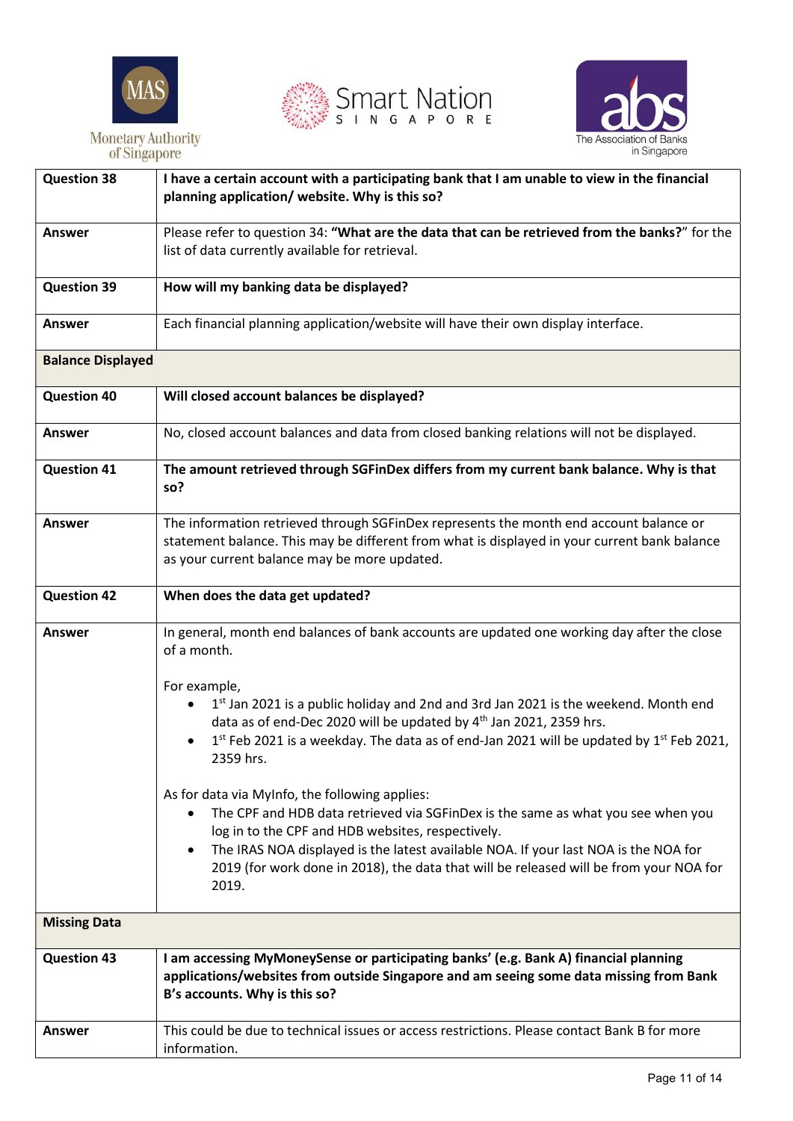





| <b>Question 38</b>       | I have a certain account with a participating bank that I am unable to view in the financial<br>planning application/ website. Why is this so?                                                                                                                                                                                                                                                 |
|--------------------------|------------------------------------------------------------------------------------------------------------------------------------------------------------------------------------------------------------------------------------------------------------------------------------------------------------------------------------------------------------------------------------------------|
| <b>Answer</b>            | Please refer to question 34: "What are the data that can be retrieved from the banks?" for the<br>list of data currently available for retrieval.                                                                                                                                                                                                                                              |
| <b>Question 39</b>       | How will my banking data be displayed?                                                                                                                                                                                                                                                                                                                                                         |
| <b>Answer</b>            | Each financial planning application/website will have their own display interface.                                                                                                                                                                                                                                                                                                             |
| <b>Balance Displayed</b> |                                                                                                                                                                                                                                                                                                                                                                                                |
| <b>Question 40</b>       | Will closed account balances be displayed?                                                                                                                                                                                                                                                                                                                                                     |
| <b>Answer</b>            | No, closed account balances and data from closed banking relations will not be displayed.                                                                                                                                                                                                                                                                                                      |
| <b>Question 41</b>       | The amount retrieved through SGFinDex differs from my current bank balance. Why is that<br>so?                                                                                                                                                                                                                                                                                                 |
| <b>Answer</b>            | The information retrieved through SGFinDex represents the month end account balance or<br>statement balance. This may be different from what is displayed in your current bank balance<br>as your current balance may be more updated.                                                                                                                                                         |
| <b>Question 42</b>       | When does the data get updated?                                                                                                                                                                                                                                                                                                                                                                |
| <b>Answer</b>            | In general, month end balances of bank accounts are updated one working day after the close<br>of a month.                                                                                                                                                                                                                                                                                     |
|                          | For example,<br>1st Jan 2021 is a public holiday and 2nd and 3rd Jan 2021 is the weekend. Month end<br>data as of end-Dec 2020 will be updated by 4 <sup>th</sup> Jan 2021, 2359 hrs.<br>$1st$ Feb 2021 is a weekday. The data as of end-Jan 2021 will be updated by $1st$ Feb 2021,<br>2359 hrs.                                                                                              |
|                          | As for data via MyInfo, the following applies:<br>The CPF and HDB data retrieved via SGFinDex is the same as what you see when you<br>log in to the CPF and HDB websites, respectively.<br>The IRAS NOA displayed is the latest available NOA. If your last NOA is the NOA for<br>$\bullet$<br>2019 (for work done in 2018), the data that will be released will be from your NOA for<br>2019. |
| <b>Missing Data</b>      |                                                                                                                                                                                                                                                                                                                                                                                                |
| <b>Question 43</b>       | I am accessing MyMoneySense or participating banks' (e.g. Bank A) financial planning<br>applications/websites from outside Singapore and am seeing some data missing from Bank<br>B's accounts. Why is this so?                                                                                                                                                                                |
| <b>Answer</b>            | This could be due to technical issues or access restrictions. Please contact Bank B for more<br>information.                                                                                                                                                                                                                                                                                   |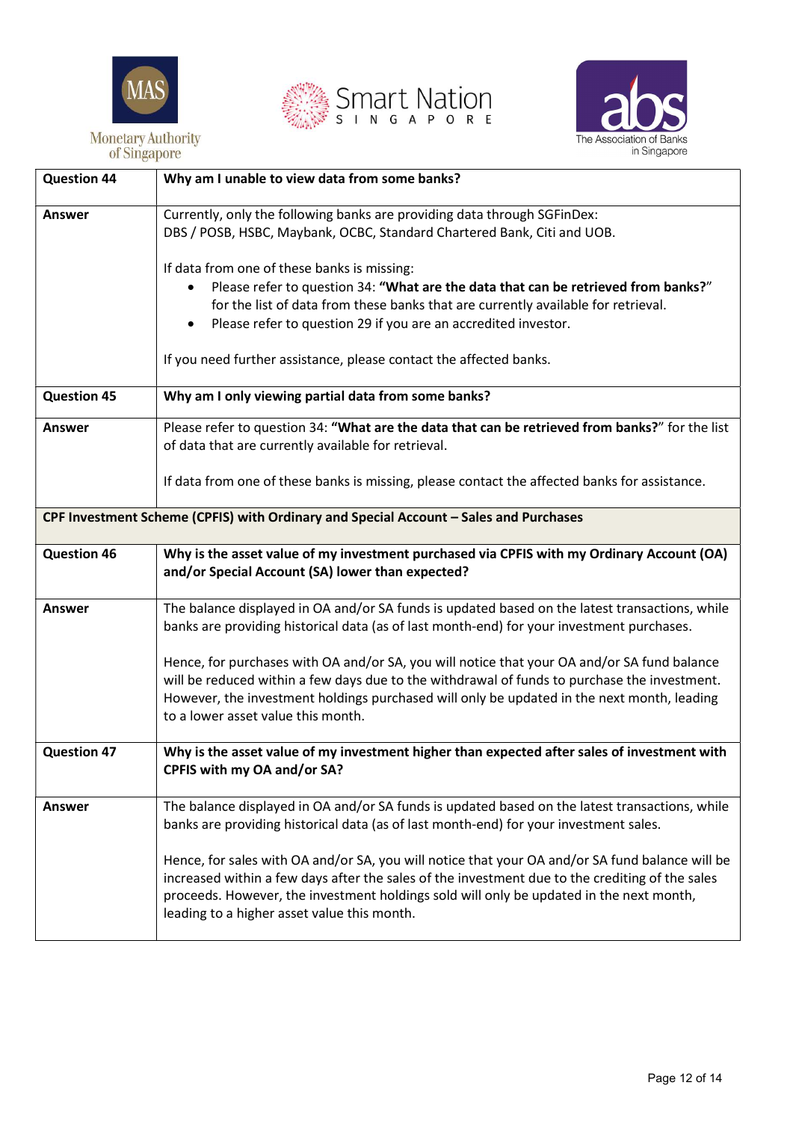





| <b>Question 44</b> | Why am I unable to view data from some banks?                                                                                                                                                                                                                                                                                                |
|--------------------|----------------------------------------------------------------------------------------------------------------------------------------------------------------------------------------------------------------------------------------------------------------------------------------------------------------------------------------------|
| <b>Answer</b>      | Currently, only the following banks are providing data through SGFinDex:<br>DBS / POSB, HSBC, Maybank, OCBC, Standard Chartered Bank, Citi and UOB.                                                                                                                                                                                          |
|                    | If data from one of these banks is missing:<br>Please refer to question 34: "What are the data that can be retrieved from banks?"<br>for the list of data from these banks that are currently available for retrieval.<br>Please refer to question 29 if you are an accredited investor.<br>٠                                                |
|                    | If you need further assistance, please contact the affected banks.                                                                                                                                                                                                                                                                           |
| <b>Question 45</b> | Why am I only viewing partial data from some banks?                                                                                                                                                                                                                                                                                          |
| <b>Answer</b>      | Please refer to question 34: "What are the data that can be retrieved from banks?" for the list<br>of data that are currently available for retrieval.                                                                                                                                                                                       |
|                    | If data from one of these banks is missing, please contact the affected banks for assistance.                                                                                                                                                                                                                                                |
|                    | CPF Investment Scheme (CPFIS) with Ordinary and Special Account - Sales and Purchases                                                                                                                                                                                                                                                        |
| <b>Question 46</b> | Why is the asset value of my investment purchased via CPFIS with my Ordinary Account (OA)<br>and/or Special Account (SA) lower than expected?                                                                                                                                                                                                |
| <b>Answer</b>      | The balance displayed in OA and/or SA funds is updated based on the latest transactions, while<br>banks are providing historical data (as of last month-end) for your investment purchases.                                                                                                                                                  |
|                    | Hence, for purchases with OA and/or SA, you will notice that your OA and/or SA fund balance<br>will be reduced within a few days due to the withdrawal of funds to purchase the investment.<br>However, the investment holdings purchased will only be updated in the next month, leading<br>to a lower asset value this month.              |
| <b>Question 47</b> | Why is the asset value of my investment higher than expected after sales of investment with<br>CPFIS with my OA and/or SA?                                                                                                                                                                                                                   |
| Answer             | The balance displayed in OA and/or SA funds is updated based on the latest transactions, while<br>banks are providing historical data (as of last month-end) for your investment sales.                                                                                                                                                      |
|                    | Hence, for sales with OA and/or SA, you will notice that your OA and/or SA fund balance will be<br>increased within a few days after the sales of the investment due to the crediting of the sales<br>proceeds. However, the investment holdings sold will only be updated in the next month,<br>leading to a higher asset value this month. |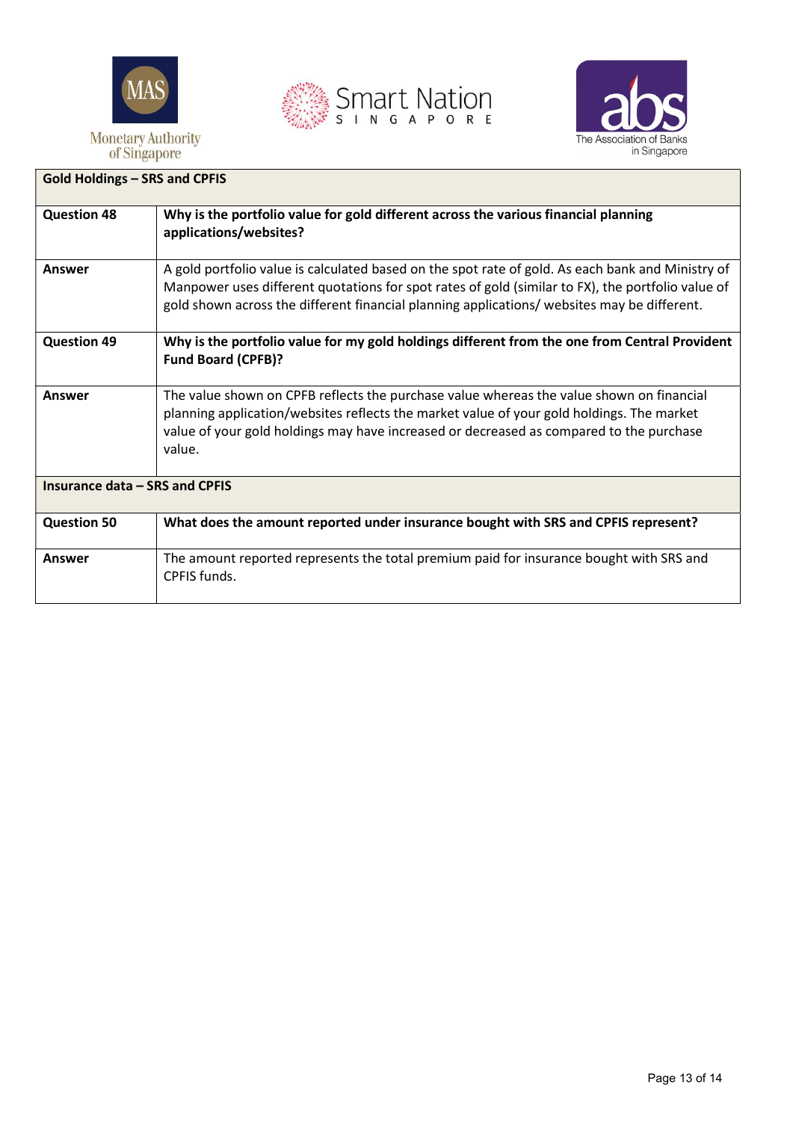





# Gold Holdings – SRS and CPFIS Question 48 Why is the portfolio value for gold different across the various financial planning applications/websites? Answer <br>A gold portfolio value is calculated based on the spot rate of gold. As each bank and Ministry of Manpower uses different quotations for spot rates of gold (similar to FX), the portfolio value of gold shown across the different financial planning applications/ websites may be different. Question 49 Why is the portfolio value for my gold holdings different from the one from Central Provident Fund Board (CPFB)? Answer The value shown on CPFB reflects the purchase value whereas the value shown on financial planning application/websites reflects the market value of your gold holdings. The market value of your gold holdings may have increased or decreased as compared to the purchase value. Insurance data – SRS and CPFIS Question 50 What does the amount reported under insurance bought with SRS and CPFIS represent? Answer The amount reported represents the total premium paid for insurance bought with SRS and CPFIS funds.